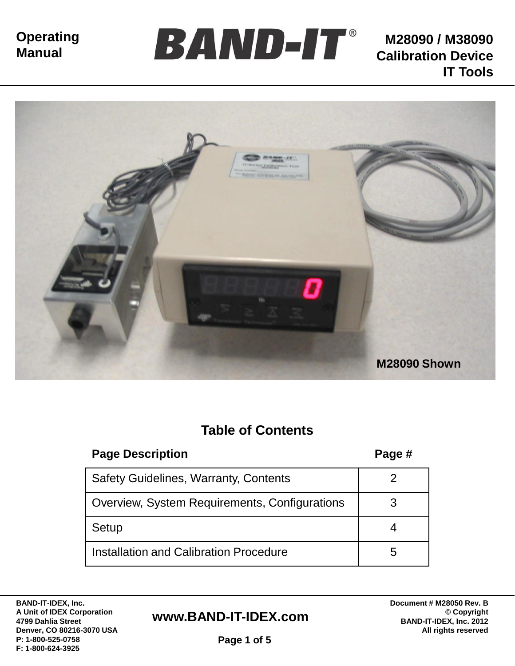



# **Table of Contents**

| <b>Page Description</b>                       | Page # |
|-----------------------------------------------|--------|
| <b>Safety Guidelines, Warranty, Contents</b>  |        |
| Overview, System Requirements, Configurations |        |
| Setup                                         |        |
| Installation and Calibration Procedure        | 5      |

**BAND-IT-IDEX, Inc. A Unit of IDEX Corporation 4799 Dahlia Street Denver, CO 80216-3070 USA P: 1-800-525-0758 F: 1-800-624-3925**

#### **www.BAND-IT-IDEX.com**

**Document # M28050 Rev. B © Copyright BAND-IT-IDEX, Inc. 2012 All rights reserved**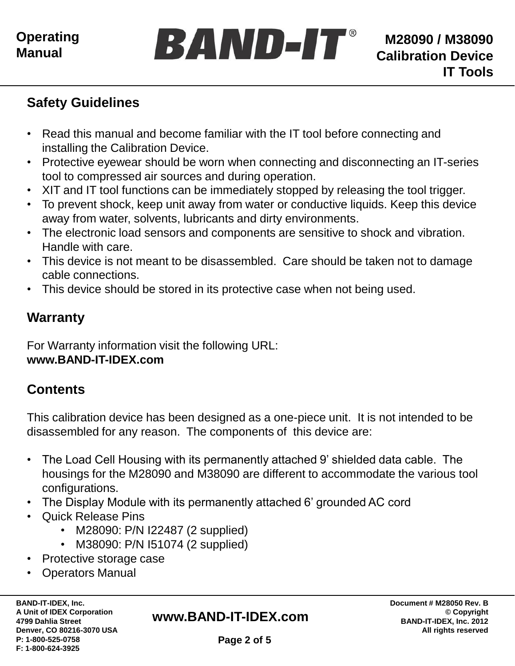

## **Safety Guidelines**

- Read this manual and become familiar with the IT tool before connecting and installing the Calibration Device.
- Protective eyewear should be worn when connecting and disconnecting an IT-series tool to compressed air sources and during operation.
- XIT and IT tool functions can be immediately stopped by releasing the tool trigger.
- To prevent shock, keep unit away from water or conductive liquids. Keep this device away from water, solvents, lubricants and dirty environments.
- The electronic load sensors and components are sensitive to shock and vibration. Handle with care.
- This device is not meant to be disassembled. Care should be taken not to damage cable connections.
- This device should be stored in its protective case when not being used.

## **Warranty**

For Warranty information visit the following URL: **www.BAND-IT-IDEX.com**

# **Contents**

This calibration device has been designed as a one-piece unit. It is not intended to be disassembled for any reason. The components of this device are:

- The Load Cell Housing with its permanently attached 9' shielded data cable. The housings for the M28090 and M38090 are different to accommodate the various tool configurations.
- The Display Module with its permanently attached 6' grounded AC cord
- Quick Release Pins
	- M28090: P/N I22487 (2 supplied)
	- M38090: P/N I51074 (2 supplied)
- Protective storage case
- Operators Manual

**BAND-IT-IDEX, Inc. A Unit of IDEX Corporation 4799 Dahlia Street Denver, CO 80216-3070 USA P: 1-800-525-0758 F: 1-800-624-3925**

#### **www.BAND-IT-IDEX.com**

**Document # M28050 Rev. B © Copyright BAND-IT-IDEX, Inc. 2012 All rights reserved**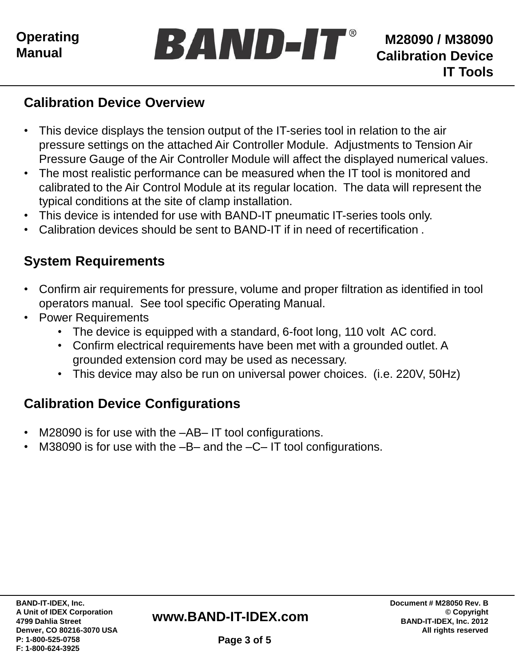

#### **Calibration Device Overview**

- This device displays the tension output of the IT-series tool in relation to the air pressure settings on the attached Air Controller Module. Adjustments to Tension Air Pressure Gauge of the Air Controller Module will affect the displayed numerical values.
- The most realistic performance can be measured when the IT tool is monitored and calibrated to the Air Control Module at its regular location. The data will represent the typical conditions at the site of clamp installation.
- This device is intended for use with BAND-IT pneumatic IT-series tools only.
- Calibration devices should be sent to BAND-IT if in need of recertification .

# **System Requirements**

- Confirm air requirements for pressure, volume and proper filtration as identified in tool operators manual. See tool specific Operating Manual.
- Power Requirements
	- The device is equipped with a standard, 6-foot long, 110 volt AC cord.
	- Confirm electrical requirements have been met with a grounded outlet. A grounded extension cord may be used as necessary.
	- This device may also be run on universal power choices. (i.e. 220V, 50Hz)

# **Calibration Device Configurations**

- M28090 is for use with the -AB-IT tool configurations.
- M38090 is for use with the –B– and the –C– IT tool configurations.

#### **www.BAND-IT-IDEX.com**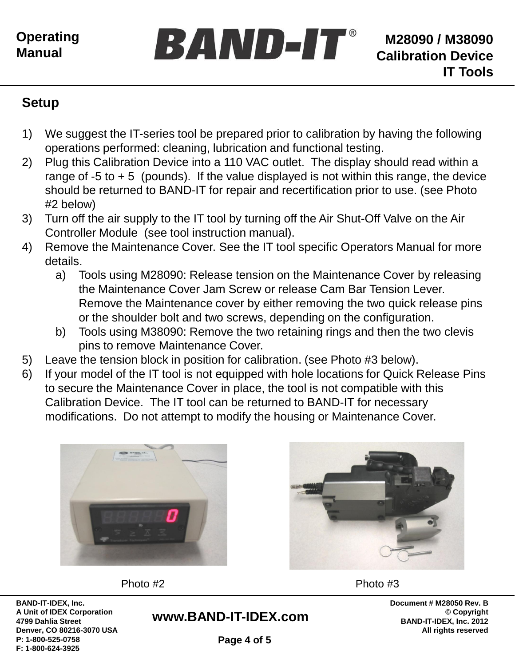

## **Setup**

1) We suggest the IT-series tool be prepared prior to calibration by having the following operations performed: cleaning, lubrication and functional testing.

BAND-IT®

- 2) Plug this Calibration Device into a 110 VAC outlet. The display should read within a range of  $-5$  to  $+5$  (pounds). If the value displayed is not within this range, the device should be returned to BAND-IT for repair and recertification prior to use. (see Photo #2 below)
- 3) Turn off the air supply to the IT tool by turning off the Air Shut-Off Valve on the Air Controller Module (see tool instruction manual).
- 4) Remove the Maintenance Cover. See the IT tool specific Operators Manual for more details.
	- a) Tools using M28090: Release tension on the Maintenance Cover by releasing the Maintenance Cover Jam Screw or release Cam Bar Tension Lever. Remove the Maintenance cover by either removing the two quick release pins or the shoulder bolt and two screws, depending on the configuration.
	- b) Tools using M38090: Remove the two retaining rings and then the two clevis pins to remove Maintenance Cover.
- 5) Leave the tension block in position for calibration. (see Photo #3 below).
- 6) If your model of the IT tool is not equipped with hole locations for Quick Release Pins to secure the Maintenance Cover in place, the tool is not compatible with this Calibration Device. The IT tool can be returned to BAND-IT for necessary modifications. Do not attempt to modify the housing or Maintenance Cover.



**BAND-IT-IDEX, Inc. A Unit of IDEX Corporation 4799 Dahlia Street Denver, CO 80216-3070 USA P: 1-800-525-0758 F: 1-800-624-3925**

Photo #2 Photo #3

**www.BAND-IT-IDEX.com**

**Document # M28050 Rev. B © Copyright BAND-IT-IDEX, Inc. 2012 All rights reserved**

**Page 4 of 5**